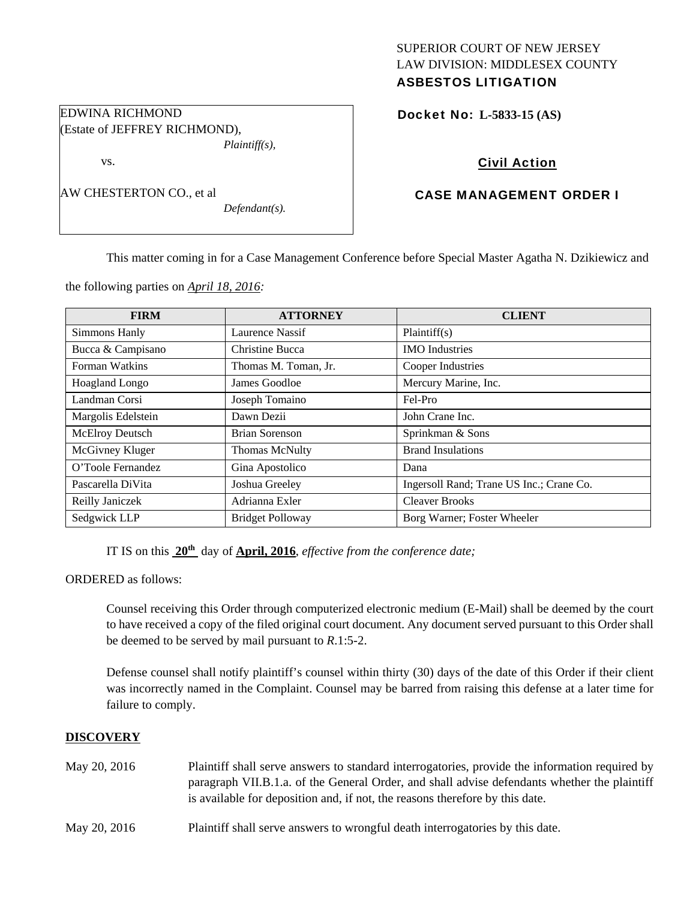# SUPERIOR COURT OF NEW JERSEY LAW DIVISION: MIDDLESEX COUNTY ASBESTOS LITIGATION

Docket No: **L-5833-15 (AS)** 

# Civil Action

# CASE MANAGEMENT ORDER I

AW CHESTERTON CO., et al

*Defendant(s).* 

*Plaintiff(s),* 

This matter coming in for a Case Management Conference before Special Master Agatha N. Dzikiewicz and

the following parties on *April 18, 2016:* 

EDWINA RICHMOND

vs.

(Estate of JEFFREY RICHMOND),

| <b>FIRM</b>            | <b>ATTORNEY</b>         | <b>CLIENT</b>                            |
|------------------------|-------------------------|------------------------------------------|
| Simmons Hanly          | Laurence Nassif         | Plaintiff(s)                             |
| Bucca & Campisano      | <b>Christine Bucca</b>  | <b>IMO</b> Industries                    |
| Forman Watkins         | Thomas M. Toman, Jr.    | Cooper Industries                        |
| Hoagland Longo         | James Goodloe           | Mercury Marine, Inc.                     |
| Landman Corsi          | Joseph Tomaino          | Fel-Pro                                  |
| Margolis Edelstein     | Dawn Dezii              | John Crane Inc.                          |
| <b>McElroy Deutsch</b> | Brian Sorenson          | Sprinkman & Sons                         |
| McGivney Kluger        | <b>Thomas McNulty</b>   | <b>Brand Insulations</b>                 |
| O'Toole Fernandez      | Gina Apostolico         | Dana                                     |
| Pascarella DiVita      | Joshua Greeley          | Ingersoll Rand; Trane US Inc.; Crane Co. |
| Reilly Janiczek        | Adrianna Exler          | <b>Cleaver Brooks</b>                    |
| Sedgwick LLP           | <b>Bridget Polloway</b> | Borg Warner; Foster Wheeler              |

IT IS on this **20th** day of **April, 2016**, *effective from the conference date;*

ORDERED as follows:

Counsel receiving this Order through computerized electronic medium (E-Mail) shall be deemed by the court to have received a copy of the filed original court document. Any document served pursuant to this Order shall be deemed to be served by mail pursuant to *R*.1:5-2.

Defense counsel shall notify plaintiff's counsel within thirty (30) days of the date of this Order if their client was incorrectly named in the Complaint. Counsel may be barred from raising this defense at a later time for failure to comply.

### **DISCOVERY**

| May 20, 2016 | Plaintiff shall serve answers to standard interrogatories, provide the information required by<br>paragraph VII.B.1.a. of the General Order, and shall advise defendants whether the plaintiff<br>is available for deposition and, if not, the reasons therefore by this date. |
|--------------|--------------------------------------------------------------------------------------------------------------------------------------------------------------------------------------------------------------------------------------------------------------------------------|
| May 20, 2016 | Plaintiff shall serve answers to wrongful death interrogatories by this date.                                                                                                                                                                                                  |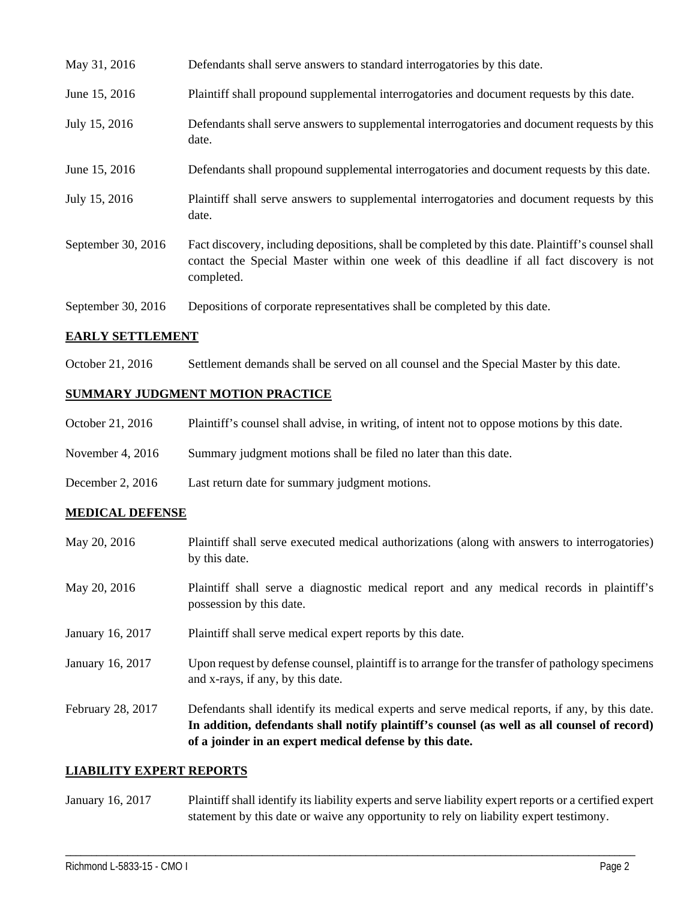| May 31, 2016       | Defendants shall serve answers to standard interrogatories by this date.                                                                                                                                    |
|--------------------|-------------------------------------------------------------------------------------------------------------------------------------------------------------------------------------------------------------|
| June 15, 2016      | Plaintiff shall propound supplemental interrogatories and document requests by this date.                                                                                                                   |
| July 15, 2016      | Defendants shall serve answers to supplemental interrogatories and document requests by this<br>date.                                                                                                       |
| June 15, 2016      | Defendants shall propound supplemental interrogatories and document requests by this date.                                                                                                                  |
| July 15, 2016      | Plaintiff shall serve answers to supplemental interrogatories and document requests by this<br>date.                                                                                                        |
| September 30, 2016 | Fact discovery, including depositions, shall be completed by this date. Plaintiff's counsel shall<br>contact the Special Master within one week of this deadline if all fact discovery is not<br>completed. |
| September 30, 2016 | Depositions of corporate representatives shall be completed by this date.                                                                                                                                   |

### **EARLY SETTLEMENT**

October 21, 2016 Settlement demands shall be served on all counsel and the Special Master by this date.

# **SUMMARY JUDGMENT MOTION PRACTICE**

| October 21, 2016 |  | Plaintiff's counsel shall advise, in writing, of intent not to oppose motions by this date. |
|------------------|--|---------------------------------------------------------------------------------------------|
|                  |  |                                                                                             |

- November 4, 2016 Summary judgment motions shall be filed no later than this date.
- December 2, 2016 Last return date for summary judgment motions.

### **MEDICAL DEFENSE**

| May 20, 2016      | Plaintiff shall serve executed medical authorizations (along with answers to interrogatories)<br>by this date.                                                                                                                                           |
|-------------------|----------------------------------------------------------------------------------------------------------------------------------------------------------------------------------------------------------------------------------------------------------|
| May 20, 2016      | Plaintiff shall serve a diagnostic medical report and any medical records in plaintiff's<br>possession by this date.                                                                                                                                     |
| January 16, 2017  | Plaintiff shall serve medical expert reports by this date.                                                                                                                                                                                               |
| January 16, 2017  | Upon request by defense counsel, plaintiff is to arrange for the transfer of pathology specimens<br>and x-rays, if any, by this date.                                                                                                                    |
| February 28, 2017 | Defendants shall identify its medical experts and serve medical reports, if any, by this date.<br>In addition, defendants shall notify plaintiff's counsel (as well as all counsel of record)<br>of a joinder in an expert medical defense by this date. |

#### **LIABILITY EXPERT REPORTS**

January 16, 2017 Plaintiff shall identify its liability experts and serve liability expert reports or a certified expert statement by this date or waive any opportunity to rely on liability expert testimony.

\_\_\_\_\_\_\_\_\_\_\_\_\_\_\_\_\_\_\_\_\_\_\_\_\_\_\_\_\_\_\_\_\_\_\_\_\_\_\_\_\_\_\_\_\_\_\_\_\_\_\_\_\_\_\_\_\_\_\_\_\_\_\_\_\_\_\_\_\_\_\_\_\_\_\_\_\_\_\_\_\_\_\_\_\_\_\_\_\_\_\_\_\_\_\_\_\_\_\_\_\_\_\_\_\_\_\_\_\_\_